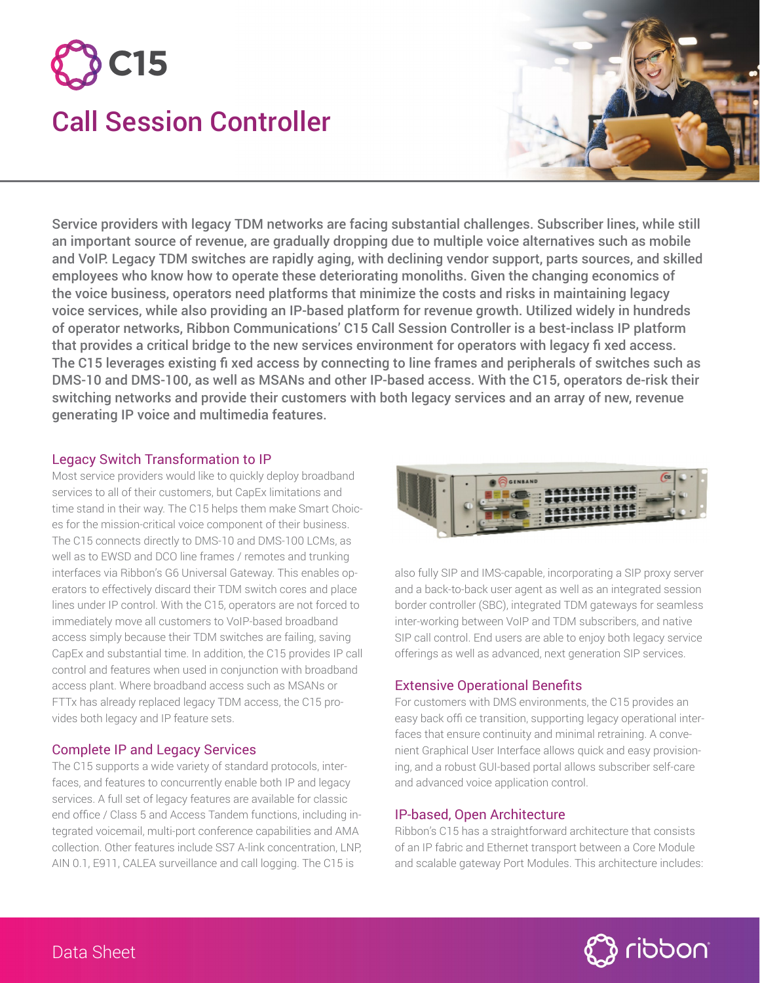



Service providers with legacy TDM networks are facing substantial challenges. Subscriber lines, while still an important source of revenue, are gradually dropping due to multiple voice alternatives such as mobile and VoIP. Legacy TDM switches are rapidly aging, with declining vendor support, parts sources, and skilled employees who know how to operate these deteriorating monoliths. Given the changing economics of the voice business, operators need platforms that minimize the costs and risks in maintaining legacy voice services, while also providing an IP-based platform for revenue growth. Utilized widely in hundreds of operator networks, Ribbon Communications' C15 Call Session Controller is a best-inclass IP platform that provides a critical bridge to the new services environment for operators with legacy fi xed access. The C15 leverages existing fi xed access by connecting to line frames and peripherals of switches such as DMS-10 and DMS-100, as well as MSANs and other IP-based access. With the C15, operators de-risk their switching networks and provide their customers with both legacy services and an array of new, revenue generating IP voice and multimedia features.

### Legacy Switch Transformation to IP

Most service providers would like to quickly deploy broadband services to all of their customers, but CapEx limitations and time stand in their way. The C15 helps them make Smart Choices for the mission-critical voice component of their business. The C15 connects directly to DMS-10 and DMS-100 LCMs, as well as to EWSD and DCO line frames / remotes and trunking interfaces via Ribbon's G6 Universal Gateway. This enables operators to effectively discard their TDM switch cores and place lines under IP control. With the C15, operators are not forced to immediately move all customers to VoIP-based broadband access simply because their TDM switches are failing, saving CapEx and substantial time. In addition, the C15 provides IP call control and features when used in conjunction with broadband access plant. Where broadband access such as MSANs or FTTx has already replaced legacy TDM access, the C15 provides both legacy and IP feature sets.

# Complete IP and Legacy Services

The C15 supports a wide variety of standard protocols, interfaces, and features to concurrently enable both IP and legacy services. A full set of legacy features are available for classic end office / Class 5 and Access Tandem functions, including integrated voicemail, multi-port conference capabilities and AMA collection. Other features include SS7 A-link concentration, LNP, AIN 0.1, E911, CALEA surveillance and call logging. The C15 is



also fully SIP and IMS-capable, incorporating a SIP proxy server and a back-to-back user agent as well as an integrated session border controller (SBC), integrated TDM gateways for seamless inter-working between VoIP and TDM subscribers, and native SIP call control. End users are able to enjoy both legacy service offerings as well as advanced, next generation SIP services.

# Extensive Operational Benefits

For customers with DMS environments, the C15 provides an easy back offi ce transition, supporting legacy operational interfaces that ensure continuity and minimal retraining. A convenient Graphical User Interface allows quick and easy provisioning, and a robust GUI-based portal allows subscriber self-care and advanced voice application control.

#### IP-based, Open Architecture

Ribbon's C15 has a straightforward architecture that consists of an IP fabric and Ethernet transport between a Core Module and scalable gateway Port Modules. This architecture includes: